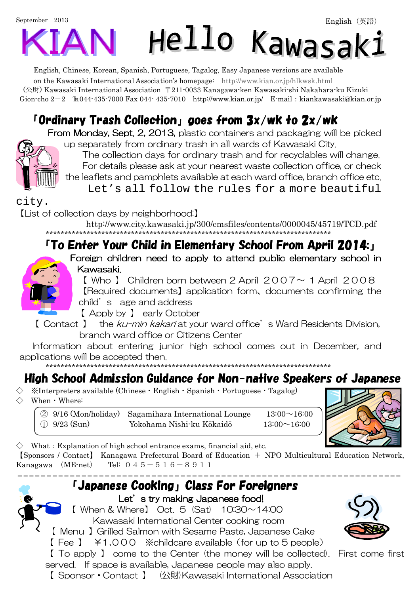# September 2013 Hello Kawasak:

English, Chinese, Korean, Spanish, Portuguese, Tagalog, Easy Japanese versions are available on the Kawasaki International Association's homepage: http://www.kian.or.jp/hlkwsk.html (公財) Kawasaki International Association 〒211-0033 Kanagawa-ken Kawasaki-shi Nakahara-ku Kizuki Gion-cho  $2-2$   $\text{Im}044-435-7000$  Fax 044-435-7010 http://www.kian.or.jp/ E-mail: kiankawasaki@kian.or.jp

# 「Ordinary Trash Collection」goes from 3x/wk to 2x/wk

From Monday, Sept. 2, 2013, plastic containers and packaging will be picked up separately from ordinary trash in all wards of Kawasaki City.



The collection days for ordinary trash and for recyclables will change. For details please ask at your nearest waste collection office, or check the leaflets and pamphlets available at each ward office, branch office etc. Let's all follow the rules for a more beautiful

city.

【List of collection days by neighborhood:】

http://www.city.kawasaki.jp/300/cmsfiles/contents/0000045/45719/TCD.pdf

#### \*\*\*\*\*\*\*\*\*\*\*\*\*\*\*\*\*\*\*\*\*\*\*\*\*\*\*\*\*\*\*\*\*\*\*\*\*\*\*\*\*\*\*\*\*\*\*\*\*\*\*\*\*\*\*\*\*\*\*\*\*\*\*\*\*\*\*\*\*\*\*\*\*\*\*\*\* 「To Enter Your Child in Elementary School From April 2014:」



Foreign children need to apply to attend public elementary school in Kawasaki.

 $[$  Who  $]$  Children born between 2 April 2007 $\sim$  1 April 2008 【Required documents】application form、documents confirming the child's age and address

【 Apply by 】 early October

【 Contact 】 the ku-min kakari at your ward office's Ward Residents Division, branch ward office or Citizens Center

Information about entering junior high school comes out in December, and applications will be accepted then.

\*\*\*\*\*\*\*\*\*\*\*\*\*\*\*\*\*\*\*\*\*\*\*\*\*\*\*\*\*\*\*\*\*\*\*\*\*\*\*\*\*\*\*\*\*\*\*\*\*\*\*\*\*\*\*\*\*\*\*\*\*\*\*\*\*\*\*\*\*\*\*\*\*\*\*\*\*

# High School Admission Guidance for Non-native Speakers of Japanese

 $\mathcal{X}$ Interpreters available (Chinese  $\cdot$  English  $\cdot$  Spanish  $\cdot$  Portuguese  $\cdot$  Tagalog)  $\Diamond$  When  $\cdot$  Where:

 $\textcircled{2}$  9/16 (Mon/holiday) Sagamihara International Lounge 13:00 ~ 16:00 ① 9/23 (Sun) Yokohama Nishi-ku Kōkaidō 13:00~16:00



 $\diamondsuit$  What: Explanation of high school entrance exams, financial aid, etc.

【Sponsors / Contact】 Kanagawa Prefectural Board of Education + NPO Multicultural Education Network, Kanagawa (ME-net) Tel:  $045 - 516 - 8911$